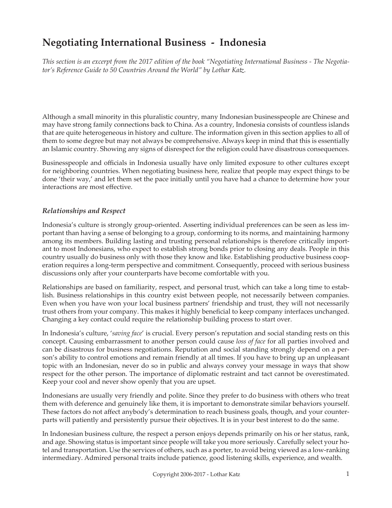# **Negotiating International Business - Indonesia**

*This section is an excerpt from the 2017 edition of the book "Negotiating International Business - The Negotiator's Reference Guide to 50 Countries Around the World" by Lothar Katz.*

Although a small minority in this pluralistic country, many Indonesian businesspeople are Chinese and may have strong family connections back to China. As a country, Indonesia consists of countless islands that are quite heterogeneous in history and culture. The information given in this section applies to all of them to some degree but may not always be comprehensive. Always keep in mind that this is essentially an Islamic country. Showing any signs of disrespect for the religion could have disastrous consequences.

Businesspeople and officials in Indonesia usually have only limited exposure to other cultures except for neighboring countries. When negotiating business here, realize that people may expect things to be done 'their way,' and let them set the pace initially until you have had a chance to determine how your interactions are most effective.

## *Relationships and Respect*

Indonesia's culture is strongly group-oriented. Asserting individual preferences can be seen as less important than having a sense of belonging to a group, conforming to its norms, and maintaining harmony among its members. Building lasting and trusting personal relationships is therefore critically important to most Indonesians, who expect to establish strong bonds prior to closing any deals. People in this country usually do business only with those they know and like. Establishing productive business cooperation requires a long-term perspective and commitment. Consequently, proceed with serious business discussions only after your counterparts have become comfortable with you.

Relationships are based on familiarity, respect, and personal trust, which can take a long time to establish. Business relationships in this country exist between people, not necessarily between companies. Even when you have won your local business partners' friendship and trust, they will not necessarily trust others from your company. This makes it highly beneficial to keep company interfaces unchanged. Changing a key contact could require the relationship building process to start over.

In Indonesia's culture, '*saving face*' is crucial. Every person's reputation and social standing rests on this concept. Causing embarrassment to another person could cause *loss of face* for all parties involved and can be disastrous for business negotiations. Reputation and social standing strongly depend on a person's ability to control emotions and remain friendly at all times. If you have to bring up an unpleasant topic with an Indonesian, never do so in public and always convey your message in ways that show respect for the other person. The importance of diplomatic restraint and tact cannot be overestimated. Keep your cool and never show openly that you are upset.

Indonesians are usually very friendly and polite. Since they prefer to do business with others who treat them with deference and genuinely like them, it is important to demonstrate similar behaviors yourself. These factors do not affect anybody's determination to reach business goals, though, and your counterparts will patiently and persistently pursue their objectives. It is in your best interest to do the same.

In Indonesian business culture, the respect a person enjoys depends primarily on his or her status, rank, and age. Showing status is important since people will take you more seriously. Carefully select your hotel and transportation. Use the services of others, such as a porter, to avoid being viewed as a low-ranking intermediary. Admired personal traits include patience, good listening skills, experience, and wealth.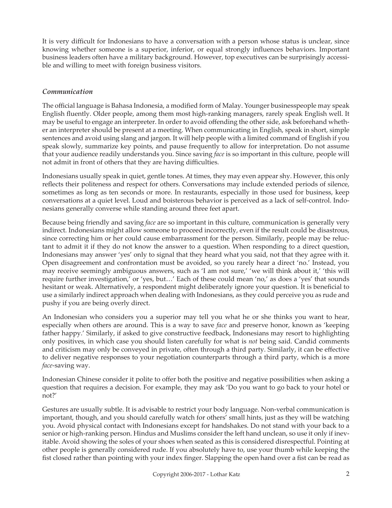It is very difficult for Indonesians to have a conversation with a person whose status is unclear, since knowing whether someone is a superior, inferior, or equal strongly influences behaviors. Important business leaders often have a military background. However, top executives can be surprisingly accessible and willing to meet with foreign business visitors.

# *Communication*

The official language is Bahasa Indonesia, a modified form of Malay. Younger businesspeople may speak English fluently. Older people, among them most high-ranking managers, rarely speak English well. It may be useful to engage an interpreter. In order to avoid offending the other side, ask beforehand whether an interpreter should be present at a meeting. When communicating in English, speak in short, simple sentences and avoid using slang and jargon. It will help people with a limited command of English if you speak slowly, summarize key points, and pause frequently to allow for interpretation. Do not assume that your audience readily understands you. Since saving *face* is so important in this culture, people will not admit in front of others that they are having difficulties.

Indonesians usually speak in quiet, gentle tones. At times, they may even appear shy. However, this only reflects their politeness and respect for others. Conversations may include extended periods of silence, sometimes as long as ten seconds or more. In restaurants, especially in those used for business, keep conversations at a quiet level. Loud and boisterous behavior is perceived as a lack of self-control. Indonesians generally converse while standing around three feet apart.

Because being friendly and saving *face* are so important in this culture, communication is generally very indirect. Indonesians might allow someone to proceed incorrectly, even if the result could be disastrous, since correcting him or her could cause embarrassment for the person. Similarly, people may be reluctant to admit it if they do not know the answer to a question. When responding to a direct question, Indonesians may answer 'yes' only to signal that they heard what you said, not that they agree with it. Open disagreement and confrontation must be avoided, so you rarely hear a direct 'no.' Instead, you may receive seemingly ambiguous answers, such as 'I am not sure,' 'we will think about it,' 'this will require further investigation,' or 'yes, but…' Each of these could mean 'no,' as does a 'yes' that sounds hesitant or weak. Alternatively, a respondent might deliberately ignore your question. It is beneficial to use a similarly indirect approach when dealing with Indonesians, as they could perceive you as rude and pushy if you are being overly direct.

An Indonesian who considers you a superior may tell you what he or she thinks you want to hear, especially when others are around. This is a way to save *face* and preserve honor, known as 'keeping father happy.' Similarly, if asked to give constructive feedback, Indonesians may resort to highlighting only positives, in which case you should listen carefully for what is *not* being said. Candid comments and criticism may only be conveyed in private, often through a third party. Similarly, it can be effective to deliver negative responses to your negotiation counterparts through a third party, which is a more *face*-saving way.

Indonesian Chinese consider it polite to offer both the positive and negative possibilities when asking a question that requires a decision. For example, they may ask 'Do you want to go back to your hotel or not?'

Gestures are usually subtle. It is advisable to restrict your body language. Non-verbal communication is important, though, and you should carefully watch for others' small hints, just as they will be watching you. Avoid physical contact with Indonesians except for handshakes. Do not stand with your back to a senior or high-ranking person. Hindus and Muslims consider the left hand unclean, so use it only if inevitable. Avoid showing the soles of your shoes when seated as this is considered disrespectful. Pointing at other people is generally considered rude. If you absolutely have to, use your thumb while keeping the fist closed rather than pointing with your index finger. Slapping the open hand over a fist can be read as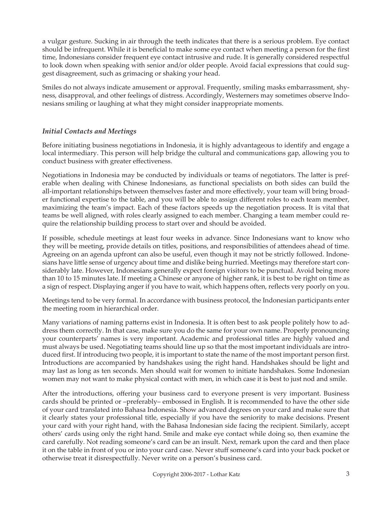a vulgar gesture. Sucking in air through the teeth indicates that there is a serious problem. Eye contact should be infrequent. While it is beneficial to make some eye contact when meeting a person for the first time, Indonesians consider frequent eye contact intrusive and rude. It is generally considered respectful to look down when speaking with senior and/or older people. Avoid facial expressions that could suggest disagreement, such as grimacing or shaking your head.

Smiles do not always indicate amusement or approval. Frequently, smiling masks embarrassment, shyness, disapproval, and other feelings of distress. Accordingly, Westerners may sometimes observe Indonesians smiling or laughing at what they might consider inappropriate moments.

## *Initial Contacts and Meetings*

Before initiating business negotiations in Indonesia, it is highly advantageous to identify and engage a local intermediary. This person will help bridge the cultural and communications gap, allowing you to conduct business with greater effectiveness.

Negotiations in Indonesia may be conducted by individuals or teams of negotiators. The latter is preferable when dealing with Chinese Indonesians, as functional specialists on both sides can build the all-important relationships between themselves faster and more effectively, your team will bring broader functional expertise to the table, and you will be able to assign different roles to each team member, maximizing the team's impact. Each of these factors speeds up the negotiation process. It is vital that teams be well aligned, with roles clearly assigned to each member. Changing a team member could require the relationship building process to start over and should be avoided.

If possible, schedule meetings at least four weeks in advance. Since Indonesians want to know who they will be meeting, provide details on titles, positions, and responsibilities of attendees ahead of time. Agreeing on an agenda upfront can also be useful, even though it may not be strictly followed. Indonesians have little sense of urgency about time and dislike being hurried. Meetings may therefore start considerably late. However, Indonesians generally expect foreign visitors to be punctual. Avoid being more than 10 to 15 minutes late. If meeting a Chinese or anyone of higher rank, it is best to be right on time as a sign of respect. Displaying anger if you have to wait, which happens often, reflects very poorly on you.

Meetings tend to be very formal. In accordance with business protocol, the Indonesian participants enter the meeting room in hierarchical order.

Many variations of naming patterns exist in Indonesia. It is often best to ask people politely how to address them correctly. In that case, make sure you do the same for your own name. Properly pronouncing your counterparts' names is very important. Academic and professional titles are highly valued and must always be used. Negotiating teams should line up so that the most important individuals are introduced first. If introducing two people, it is important to state the name of the most important person first. Introductions are accompanied by handshakes using the right hand. Handshakes should be light and may last as long as ten seconds. Men should wait for women to initiate handshakes. Some Indonesian women may not want to make physical contact with men, in which case it is best to just nod and smile.

After the introductions, offering your business card to everyone present is very important. Business cards should be printed or –preferably– embossed in English. It is recommended to have the other side of your card translated into Bahasa Indonesia. Show advanced degrees on your card and make sure that it clearly states your professional title, especially if you have the seniority to make decisions. Present your card with your right hand, with the Bahasa Indonesian side facing the recipient. Similarly, accept others' cards using only the right hand. Smile and make eye contact while doing so, then examine the card carefully. Not reading someone's card can be an insult. Next, remark upon the card and then place it on the table in front of you or into your card case. Never stuff someone's card into your back pocket or otherwise treat it disrespectfully. Never write on a person's business card.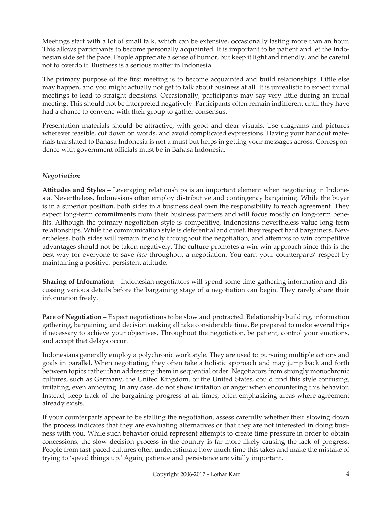Meetings start with a lot of small talk, which can be extensive, occasionally lasting more than an hour. This allows participants to become personally acquainted. It is important to be patient and let the Indonesian side set the pace. People appreciate a sense of humor, but keep it light and friendly, and be careful not to overdo it. Business is a serious matter in Indonesia.

The primary purpose of the first meeting is to become acquainted and build relationships. Little else may happen, and you might actually not get to talk about business at all. It is unrealistic to expect initial meetings to lead to straight decisions. Occasionally, participants may say very little during an initial meeting. This should not be interpreted negatively. Participants often remain indifferent until they have had a chance to convene with their group to gather consensus.

Presentation materials should be attractive, with good and clear visuals. Use diagrams and pictures wherever feasible, cut down on words, and avoid complicated expressions. Having your handout materials translated to Bahasa Indonesia is not a must but helps in getting your messages across. Correspondence with government officials must be in Bahasa Indonesia.

# *Negotiation*

**Attitudes and Styles –** Leveraging relationships is an important element when negotiating in Indonesia. Nevertheless, Indonesians often employ distributive and contingency bargaining. While the buyer is in a superior position, both sides in a business deal own the responsibility to reach agreement. They expect long-term commitments from their business partners and will focus mostly on long-term benefits. Although the primary negotiation style is competitive, Indonesians nevertheless value long-term relationships. While the communication style is deferential and quiet, they respect hard bargainers. Nevertheless, both sides will remain friendly throughout the negotiation, and attempts to win competitive advantages should not be taken negatively. The culture promotes a win-win approach since this is the best way for everyone to save *face* throughout a negotiation. You earn your counterparts' respect by maintaining a positive, persistent attitude.

**Sharing of Information –** Indonesian negotiators will spend some time gathering information and discussing various details before the bargaining stage of a negotiation can begin. They rarely share their information freely.

Pace of Negotiation – Expect negotiations to be slow and protracted. Relationship building, information gathering, bargaining, and decision making all take considerable time. Be prepared to make several trips if necessary to achieve your objectives. Throughout the negotiation, be patient, control your emotions, and accept that delays occur.

Indonesians generally employ a polychronic work style. They are used to pursuing multiple actions and goals in parallel. When negotiating, they often take a holistic approach and may jump back and forth between topics rather than addressing them in sequential order. Negotiators from strongly monochronic cultures, such as Germany, the United Kingdom, or the United States, could find this style confusing, irritating, even annoying. In any case, do not show irritation or anger when encountering this behavior. Instead, keep track of the bargaining progress at all times, often emphasizing areas where agreement already exists.

If your counterparts appear to be stalling the negotiation, assess carefully whether their slowing down the process indicates that they are evaluating alternatives or that they are not interested in doing business with you. While such behavior could represent attempts to create time pressure in order to obtain concessions, the slow decision process in the country is far more likely causing the lack of progress. People from fast-paced cultures often underestimate how much time this takes and make the mistake of trying to 'speed things up.' Again, patience and persistence are vitally important.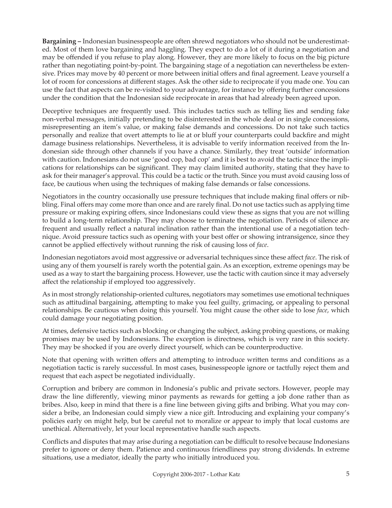**Bargaining –** Indonesian businesspeople are often shrewd negotiators who should not be underestimated. Most of them love bargaining and haggling. They expect to do a lot of it during a negotiation and may be offended if you refuse to play along. However, they are more likely to focus on the big picture rather than negotiating point-by-point. The bargaining stage of a negotiation can nevertheless be extensive. Prices may move by 40 percent or more between initial offers and final agreement. Leave yourself a lot of room for concessions at different stages. Ask the other side to reciprocate if you made one. You can use the fact that aspects can be re-visited to your advantage, for instance by offering further concessions under the condition that the Indonesian side reciprocate in areas that had already been agreed upon.

Deceptive techniques are frequently used. This includes tactics such as telling lies and sending fake non-verbal messages, initially pretending to be disinterested in the whole deal or in single concessions, misrepresenting an item's value, or making false demands and concessions. Do not take such tactics personally and realize that overt attempts to lie at or bluff your counterparts could backfire and might damage business relationships. Nevertheless, it is advisable to verify information received from the Indonesian side through other channels if you have a chance. Similarly, they treat 'outside' information with caution. Indonesians do not use 'good cop, bad cop' and it is best to avoid the tactic since the implications for relationships can be significant. They may claim limited authority, stating that they have to ask for their manager's approval. This could be a tactic or the truth. Since you must avoid causing loss of face, be cautious when using the techniques of making false demands or false concessions.

Negotiators in the country occasionally use pressure techniques that include making final offers or nibbling. Final offers may come more than once and are rarely final. Do not use tactics such as applying time pressure or making expiring offers, since Indonesians could view these as signs that you are not willing to build a long-term relationship. They may choose to terminate the negotiation. Periods of silence are frequent and usually reflect a natural inclination rather than the intentional use of a negotiation technique. Avoid pressure tactics such as opening with your best offer or showing intransigence, since they cannot be applied effectively without running the risk of causing loss of *face*.

Indonesian negotiators avoid most aggressive or adversarial techniques since these affect *face*. The risk of using any of them yourself is rarely worth the potential gain. As an exception, extreme openings may be used as a way to start the bargaining process. However, use the tactic with caution since it may adversely affect the relationship if employed too aggressively.

As in most strongly relationship-oriented cultures, negotiators may sometimes use emotional techniques such as attitudinal bargaining, attempting to make you feel guilty, grimacing, or appealing to personal relationships. Be cautious when doing this yourself. You might cause the other side to lose *face*, which could damage your negotiating position.

At times, defensive tactics such as blocking or changing the subject, asking probing questions, or making promises may be used by Indonesians. The exception is directness, which is very rare in this society. They may be shocked if you are overly direct yourself, which can be counterproductive.

Note that opening with written offers and attempting to introduce written terms and conditions as a negotiation tactic is rarely successful. In most cases, businesspeople ignore or tactfully reject them and request that each aspect be negotiated individually.

Corruption and bribery are common in Indonesia's public and private sectors. However, people may draw the line differently, viewing minor payments as rewards for getting a job done rather than as bribes. Also, keep in mind that there is a fine line between giving gifts and bribing. What you may consider a bribe, an Indonesian could simply view a nice gift. Introducing and explaining your company's policies early on might help, but be careful not to moralize or appear to imply that local customs are unethical. Alternatively, let your local representative handle such aspects.

Conflicts and disputes that may arise during a negotiation can be difficult to resolve because Indonesians prefer to ignore or deny them. Patience and continuous friendliness pay strong dividends. In extreme situations, use a mediator, ideally the party who initially introduced you.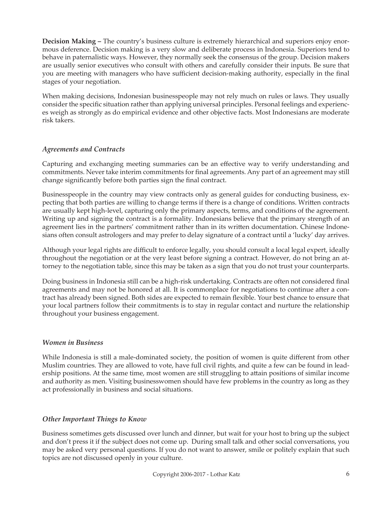**Decision Making –** The country's business culture is extremely hierarchical and superiors enjoy enormous deference. Decision making is a very slow and deliberate process in Indonesia. Superiors tend to behave in paternalistic ways. However, they normally seek the consensus of the group. Decision makers are usually senior executives who consult with others and carefully consider their inputs. Be sure that you are meeting with managers who have sufficient decision-making authority, especially in the final stages of your negotiation.

When making decisions, Indonesian businesspeople may not rely much on rules or laws. They usually consider the specific situation rather than applying universal principles. Personal feelings and experiences weigh as strongly as do empirical evidence and other objective facts. Most Indonesians are moderate risk takers.

# *Agreements and Contracts*

Capturing and exchanging meeting summaries can be an effective way to verify understanding and commitments. Never take interim commitments for final agreements. Any part of an agreement may still change significantly before both parties sign the final contract.

Businesspeople in the country may view contracts only as general guides for conducting business, expecting that both parties are willing to change terms if there is a change of conditions. Written contracts are usually kept high-level, capturing only the primary aspects, terms, and conditions of the agreement. Writing up and signing the contract is a formality. Indonesians believe that the primary strength of an agreement lies in the partners' commitment rather than in its written documentation. Chinese Indonesians often consult astrologers and may prefer to delay signature of a contract until a 'lucky' day arrives.

Although your legal rights are difficult to enforce legally, you should consult a local legal expert, ideally throughout the negotiation or at the very least before signing a contract. However, do not bring an attorney to the negotiation table, since this may be taken as a sign that you do not trust your counterparts.

Doing business in Indonesia still can be a high-risk undertaking. Contracts are often not considered final agreements and may not be honored at all. It is commonplace for negotiations to continue after a contract has already been signed. Both sides are expected to remain flexible. Your best chance to ensure that your local partners follow their commitments is to stay in regular contact and nurture the relationship throughout your business engagement.

## *Women in Business*

While Indonesia is still a male-dominated society, the position of women is quite different from other Muslim countries. They are allowed to vote, have full civil rights, and quite a few can be found in leadership positions. At the same time, most women are still struggling to attain positions of similar income and authority as men. Visiting businesswomen should have few problems in the country as long as they act professionally in business and social situations.

## *Other Important Things to Know*

Business sometimes gets discussed over lunch and dinner, but wait for your host to bring up the subject and don't press it if the subject does not come up. During small talk and other social conversations, you may be asked very personal questions. If you do not want to answer, smile or politely explain that such topics are not discussed openly in your culture.